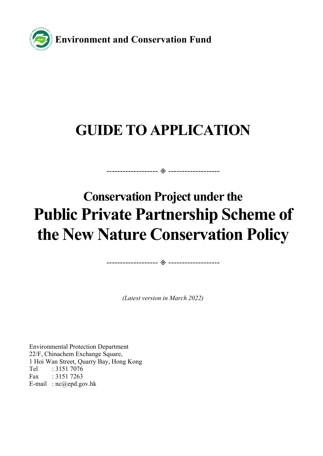

# **GUIDE TO APPLICATION**

------------------- -------------------

# **Conservation Project under the Public Private Partnership Scheme of the New Nature Conservation Policy**

*(Latest version in March 2022)* 

------------------- -------------------

Environmental Protection Department 22/F, Chinachem Exchange Square, 1 Hoi Wan Street, Quarry Bay, Hong Kong Tel : 3151 7076 Fax : 3151 7263 E-mail : nc@epd.gov.hk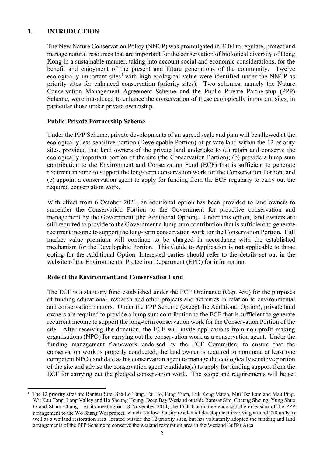# **1. INTRODUCTION**

The New Nature Conservation Policy (NNCP) was promulgated in 2004 to regulate, protect and manage natural resources that are important for the conservation of biological diversity of Hong Kong in a sustainable manner, taking into account social and economic considerations, for the benefit and enjoyment of the present and future generations of the community. Twelve ecologically important sites<sup>[1](#page-1-0)</sup> with high ecological value were identified under the NNCP as priority sites for enhanced conservation (priority sites). Two schemes, namely the Nature Conservation Management Agreement Scheme and the Public Private Partnership (PPP) Scheme, were introduced to enhance the conservation of these ecologically important sites, in particular those under private ownership.

#### **Public-Private Partnership Scheme**

Under the PPP Scheme, private developments of an agreed scale and plan will be allowed at the ecologically less sensitive portion (Developable Portion) of private land within the 12 priority sites, provided that land owners of the private land undertake to (a) retain and conserve the ecologically important portion of the site (the Conservation Portion); (b) provide a lump sum contribution to the Environment and Conservation Fund (ECF) that is sufficient to generate recurrent income to support the long-term conservation work for the Conservation Portion; and (c) appoint a conservation agent to apply for funding from the ECF regularly to carry out the required conservation work.

With effect from 6 October 2021, an additional option has been provided to land owners to surrender the Conservation Portion to the Government for proactive conservation and management by the Government (the Additional Option). Under this option, land owners are still required to provide to the Government a lump sum contribution that is sufficient to generate recurrent income to support the long-term conservation work for the Conservation Portion. Full market value premium will continue to be charged in accordance with the established mechanism for the Developable Portion. This Guide to Application is **not** applicable to those opting for the Additional Option. Interested parties should refer to the details set out in the website of the Environmental Protection Department (EPD) for information.

# **Role of the Environment and Conservation Fund**

The ECF is a statutory fund established under the ECF Ordinance (Cap. 450) for the purposes of funding educational, research and other projects and activities in relation to environmental and conservation matters. Under the PPP Scheme (except the Additional Option), private land owners are required to provide a lump sum contribution to the ECF that is sufficient to generate recurrent income to support the long-term conservation work for the Conservation Portion of the site. After receiving the donation, the ECF will invite applications from non-profit making organisations (NPO) for carrying out the conservation work as a conservation agent. Under the funding management framework endorsed by the ECF Committee, to ensure that the conservation work is properly conducted, the land owner is required to nominate at least one competent NPO candidate as his conservation agent to manage the ecologically sensitive portion of the site and advise the conservation agent candidate(s) to apply for funding support from the ECF for carrying out the pledged conservation work. The scope and requirements will be set

<span id="page-1-0"></span> <sup>1</sup> The 12 priority sites are Ramsar Site, Sha Lo Tung, Tai Ho, Fung Yuen, Luk Keng Marsh, Mui Tsz Lam and Mau Ping, Wu Kau Tang, Long Valley and Ho Sheung Heung, Deep Bay Wetland outside Ramsar Site, Cheung Sheung, Yung Shue O and Sham Chung. At its meeting on 18 November 2011, the ECF Committee endorsed the extension of the PPP arrangement to the Wo Shang Wai project, which is a low-density residential development involving around 270 units as well as a wetland restoration area located outside the 12 priority sites, but has voluntarily adopted the funding and land arrangements of the PPP Scheme to conserve the wetland restoration area in the Wetland Buffer Area.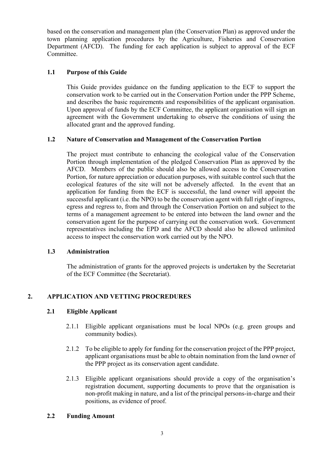based on the conservation and management plan (the Conservation Plan) as approved under the town planning application procedures by the Agriculture, Fisheries and Conservation Department (AFCD). The funding for each application is subject to approval of the ECF Committee.

# **1.1 Purpose of this Guide**

This Guide provides guidance on the funding application to the ECF to support the conservation work to be carried out in the Conservation Portion under the PPP Scheme, and describes the basic requirements and responsibilities of the applicant organisation. Upon approval of funds by the ECF Committee, the applicant organisation will sign an agreement with the Government undertaking to observe the conditions of using the allocated grant and the approved funding.

# **1.2 Nature of Conservation and Management of the Conservation Portion**

The project must contribute to enhancing the ecological value of the Conservation Portion through implementation of the pledged Conservation Plan as approved by the AFCD. Members of the public should also be allowed access to the Conservation Portion, for nature appreciation or education purposes, with suitable control such that the ecological features of the site will not be adversely affected. In the event that an application for funding from the ECF is successful, the land owner will appoint the successful applicant (i.e. the NPO) to be the conservation agent with full right of ingress, egress and regress to, from and through the Conservation Portion on and subject to the terms of a management agreement to be entered into between the land owner and the conservation agent for the purpose of carrying out the conservation work. Government representatives including the EPD and the AFCD should also be allowed unlimited access to inspect the conservation work carried out by the NPO.

# **1.3 Administration**

The administration of grants for the approved projects is undertaken by the Secretariat of the ECF Committee (the Secretariat).

# **2. APPLICATION AND VETTING PROCREDURES**

# **2.1 Eligible Applicant**

- 2.1.1 Eligible applicant organisations must be local NPOs (e.g. green groups and community bodies).
- 2.1.2 To be eligible to apply for funding for the conservation project of the PPP project, applicant organisations must be able to obtain nomination from the land owner of the PPP project as its conservation agent candidate.
- 2.1.3 Eligible applicant organisations should provide a copy of the organisation's registration document, supporting documents to prove that the organisation is non-profit making in nature, and a list of the principal persons-in-charge and their positions, as evidence of proof.

# **2.2 Funding Amount**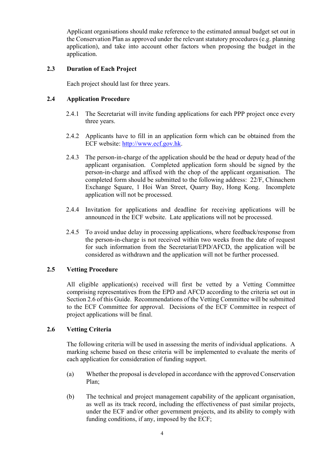Applicant organisations should make reference to the estimated annual budget set out in the Conservation Plan as approved under the relevant statutory procedures (e.g. planning application), and take into account other factors when proposing the budget in the application.

# **2.3 Duration of Each Project**

Each project should last for three years.

# **2.4 Application Procedure**

- 2.4.1 The Secretariat will invite funding applications for each PPP project once every three years.
- 2.4.2 Applicants have to fill in an application form which can be obtained from the ECF website: [http://www.ecf.gov.hk.](http://www.ecf.gov.hk/)
- 2.4.3 The person-in-charge of the application should be the head or deputy head of the applicant organisation. Completed application form should be signed by the person-in-charge and affixed with the chop of the applicant organisation. The completed form should be submitted to the following address: 22/F, Chinachem Exchange Square, 1 Hoi Wan Street, Quarry Bay, Hong Kong. Incomplete application will not be processed.
- 2.4.4 Invitation for applications and deadline for receiving applications will be announced in the ECF website. Late applications will not be processed.
- 2.4.5 To avoid undue delay in processing applications, where feedback/response from the person-in-charge is not received within two weeks from the date of request for such information from the Secretariat/EPD/AFCD, the application will be considered as withdrawn and the application will not be further processed.

# **2.5 Vetting Procedure**

All eligible application(s) received will first be vetted by a Vetting Committee comprising representatives from the EPD and AFCD according to the criteria set out in Section 2.6 of this Guide. Recommendations of the Vetting Committee will be submitted to the ECF Committee for approval. Decisions of the ECF Committee in respect of project applications will be final.

# **2.6 Vetting Criteria**

The following criteria will be used in assessing the merits of individual applications. A marking scheme based on these criteria will be implemented to evaluate the merits of each application for consideration of funding support.

- (a) Whether the proposal is developed in accordance with the approved Conservation Plan;
- (b) The technical and project management capability of the applicant organisation, as well as its track record, including the effectiveness of past similar projects, under the ECF and/or other government projects, and its ability to comply with funding conditions, if any, imposed by the ECF;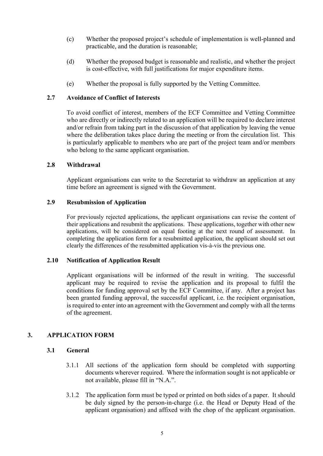- (c) Whether the proposed project's schedule of implementation is well-planned and practicable, and the duration is reasonable;
- (d) Whether the proposed budget is reasonable and realistic, and whether the project is cost-effective, with full justifications for major expenditure items.
- (e) Whether the proposal is fully supported by the Vetting Committee.

#### **2.7 Avoidance of Conflict of Interests**

To avoid conflict of interest, members of the ECF Committee and Vetting Committee who are directly or indirectly related to an application will be required to declare interest and/or refrain from taking part in the discussion of that application by leaving the venue where the deliberation takes place during the meeting or from the circulation list. This is particularly applicable to members who are part of the project team and/or members who belong to the same applicant organisation.

#### **2.8 Withdrawal**

Applicant organisations can write to the Secretariat to withdraw an application at any time before an agreement is signed with the Government.

#### **2.9 Resubmission of Application**

For previously rejected applications, the applicant organisations can revise the content of their applications and resubmit the applications. These applications, together with other new applications, will be considered on equal footing at the next round of assessment. In completing the application form for a resubmitted application, the applicant should set out clearly the differences of the resubmitted application vis-à-vis the previous one.

#### **2.10 Notification of Application Result**

Applicant organisations will be informed of the result in writing. The successful applicant may be required to revise the application and its proposal to fulfil the conditions for funding approval set by the ECF Committee, if any. After a project has been granted funding approval, the successful applicant, i.e. the recipient organisation, is required to enter into an agreement with the Government and comply with all the terms of the agreement.

# **3. APPLICATION FORM**

#### **3.1 General**

- 3.1.1 All sections of the application form should be completed with supporting documents wherever required. Where the information sought is not applicable or not available, please fill in "N.A.".
- 3.1.2 The application form must be typed or printed on both sides of a paper. It should be duly signed by the person-in-charge (i.e. the Head or Deputy Head of the applicant organisation) and affixed with the chop of the applicant organisation.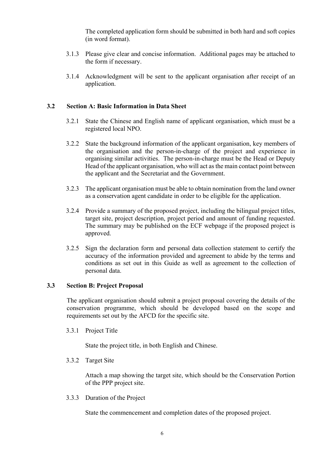The completed application form should be submitted in both hard and soft copies (in word format).

- 3.1.3 Please give clear and concise information. Additional pages may be attached to the form if necessary.
- 3.1.4 Acknowledgment will be sent to the applicant organisation after receipt of an application.

#### **3.2 Section A: Basic Information in Data Sheet**

- 3.2.1 State the Chinese and English name of applicant organisation, which must be a registered local NPO.
- 3.2.2 State the background information of the applicant organisation, key members of the organisation and the person-in-charge of the project and experience in organising similar activities. The person-in-charge must be the Head or Deputy Head of the applicant organisation, who will act as the main contact point between the applicant and the Secretariat and the Government.
- 3.2.3 The applicant organisation must be able to obtain nomination from the land owner as a conservation agent candidate in order to be eligible for the application.
- 3.2.4 Provide a summary of the proposed project, including the bilingual project titles, target site, project description, project period and amount of funding requested. The summary may be published on the ECF webpage if the proposed project is approved.
- 3.2.5 Sign the declaration form and personal data collection statement to certify the accuracy of the information provided and agreement to abide by the terms and conditions as set out in this Guide as well as agreement to the collection of personal data.

#### **3.3 Section B: Project Proposal**

The applicant organisation should submit a project proposal covering the details of the conservation programme, which should be developed based on the scope and requirements set out by the AFCD for the specific site.

3.3.1 Project Title

State the project title, in both English and Chinese.

3.3.2 Target Site

Attach a map showing the target site, which should be the Conservation Portion of the PPP project site.

3.3.3 Duration of the Project

State the commencement and completion dates of the proposed project.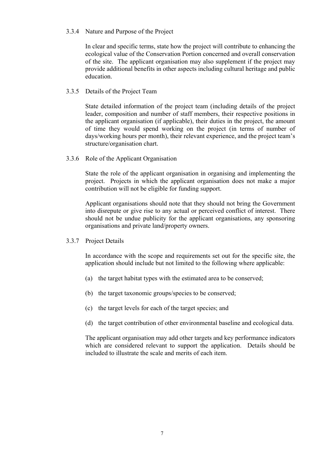#### 3.3.4 Nature and Purpose of the Project

In clear and specific terms, state how the project will contribute to enhancing the ecological value of the Conservation Portion concerned and overall conservation of the site. The applicant organisation may also supplement if the project may provide additional benefits in other aspects including cultural heritage and public education.

#### 3.3.5 Details of the Project Team

State detailed information of the project team (including details of the project leader, composition and number of staff members, their respective positions in the applicant organisation (if applicable), their duties in the project, the amount of time they would spend working on the project (in terms of number of days/working hours per month), their relevant experience, and the project team's structure/organisation chart.

3.3.6 Role of the Applicant Organisation

State the role of the applicant organisation in organising and implementing the project. Projects in which the applicant organisation does not make a major contribution will not be eligible for funding support.

Applicant organisations should note that they should not bring the Government into disrepute or give rise to any actual or perceived conflict of interest. There should not be undue publicity for the applicant organisations, any sponsoring organisations and private land/property owners.

3.3.7 Project Details

In accordance with the scope and requirements set out for the specific site, the application should include but not limited to the following where applicable:

- (a) the target habitat types with the estimated area to be conserved;
- (b) the target taxonomic groups/species to be conserved;
- (c) the target levels for each of the target species; and
- (d) the target contribution of other environmental baseline and ecological data.

The applicant organisation may add other targets and key performance indicators which are considered relevant to support the application. Details should be included to illustrate the scale and merits of each item.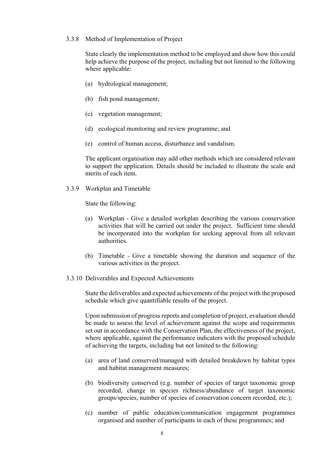#### 3.3.8 Method of Implementation of Project

State clearly the implementation method to be employed and show how this could help achieve the purpose of the project, including but not limited to the following where applicable:

- (a) hydrological management;
- (b) fish pond management;
- (c) vegetation management;
- (d) ecological monitoring and review programme; and
- (e) control of human access, disturbance and vandalism.

The applicant organisation may add other methods which are considered relevant to support the application. Details should be included to illustrate the scale and merits of each item.

3.3.9 Workplan and Timetable

State the following:

- (a) Workplan Give a detailed workplan describing the various conservation activities that will be carried out under the project. Sufficient time should be incorporated into the workplan for seeking approval from all relevant authorities.
- (b) Timetable Give a timetable showing the duration and sequence of the various activities in the project.
- 3.3.10 Deliverables and Expected Achievements

State the deliverables and expected achievements of the project with the proposed schedule which give quantifiable results of the project.

Upon submission of progress reports and completion of project, evaluation should be made to assess the level of achievement against the scope and requirements set out in accordance with the Conservation Plan, the effectiveness of the project, where applicable, against the performance indicators with the proposed schedule of achieving the targets, including but not limited to the following:

- (a) area of land conserved/managed with detailed breakdown by habitat types and habitat management measures;
- (b) biodiversity conserved (e.g. number of species of target taxonomic group recorded, change in species richness/abundance of target taxonomic groups/species, number of species of conservation concern recorded, etc.);
- (c) number of public education/communication engagement programmes organised and number of participants in each of these programmes; and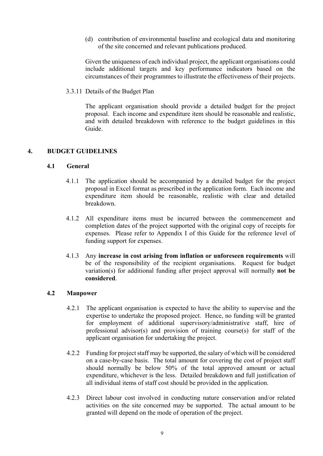(d) contribution of environmental baseline and ecological data and monitoring of the site concerned and relevant publications produced.

Given the uniqueness of each individual project, the applicant organisations could include additional targets and key performance indicators based on the circumstances of their programmes to illustrate the effectiveness of their projects.

3.3.11 Details of the Budget Plan

The applicant organisation should provide a detailed budget for the project proposal. Each income and expenditure item should be reasonable and realistic, and with detailed breakdown with reference to the budget guidelines in this Guide.

#### **4. BUDGET GUIDELINES**

#### **4.1 General**

- 4.1.1 The application should be accompanied by a detailed budget for the project proposal in Excel format as prescribed in the application form. Each income and expenditure item should be reasonable, realistic with clear and detailed breakdown.
- 4.1.2 All expenditure items must be incurred between the commencement and completion dates of the project supported with the original copy of receipts for expenses. Please refer to Appendix I of this Guide for the reference level of funding support for expenses.
- 4.1.3 Any **increase in cost arising from inflation or unforeseen requirements** will be of the responsibility of the recipient organisations. Request for budget variation(s) for additional funding after project approval will normally **not be considered**.

#### **4.2 Manpower**

- 4.2.1 The applicant organisation is expected to have the ability to supervise and the expertise to undertake the proposed project. Hence, no funding will be granted for employment of additional supervisory/administrative staff, hire of professional advisor(s) and provision of training course(s) for staff of the applicant organisation for undertaking the project.
- 4.2.2 Funding for project staff may be supported, the salary of which will be considered on a case-by-case basis. The total amount for covering the cost of project staff should normally be below 50% of the total approved amount or actual expenditure, whichever is the less. Detailed breakdown and full justification of all individual items of staff cost should be provided in the application.
- 4.2.3 Direct labour cost involved in conducting nature conservation and/or related activities on the site concerned may be supported. The actual amount to be granted will depend on the mode of operation of the project.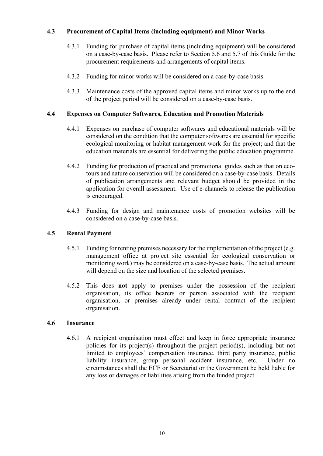# **4.3 Procurement of Capital Items (including equipment) and Minor Works**

- 4.3.1 Funding for purchase of capital items (including equipment) will be considered on a case-by-case basis. Please refer to Section 5.6 and 5.7 of this Guide for the procurement requirements and arrangements of capital items.
- 4.3.2 Funding for minor works will be considered on a case-by-case basis.
- 4.3.3 Maintenance costs of the approved capital items and minor works up to the end of the project period will be considered on a case-by-case basis.

#### **4.4 Expenses on Computer Softwares, Education and Promotion Materials**

- 4.4.1 Expenses on purchase of computer softwares and educational materials will be considered on the condition that the computer softwares are essential for specific ecological monitoring or habitat management work for the project; and that the education materials are essential for delivering the public education programme.
- 4.4.2 Funding for production of practical and promotional guides such as that on ecotours and nature conservation will be considered on a case-by-case basis. Details of publication arrangements and relevant budget should be provided in the application for overall assessment. Use of e-channels to release the publication is encouraged.
- 4.4.3 Funding for design and maintenance costs of promotion websites will be considered on a case-by-case basis.

# **4.5 Rental Payment**

- 4.5.1 Funding for renting premises necessary for the implementation of the project (e.g. management office at project site essential for ecological conservation or monitoring work) may be considered on a case-by-case basis. The actual amount will depend on the size and location of the selected premises.
- 4.5.2 This does **not** apply to premises under the possession of the recipient organisation, its office bearers or person associated with the recipient organisation, or premises already under rental contract of the recipient organisation.

# **4.6 Insurance**

4.6.1 A recipient organisation must effect and keep in force appropriate insurance policies for its project(s) throughout the project period(s), including but not limited to employees' compensation insurance, third party insurance, public liability insurance, group personal accident insurance, etc. Under no circumstances shall the ECF or Secretariat or the Government be held liable for any loss or damages or liabilities arising from the funded project.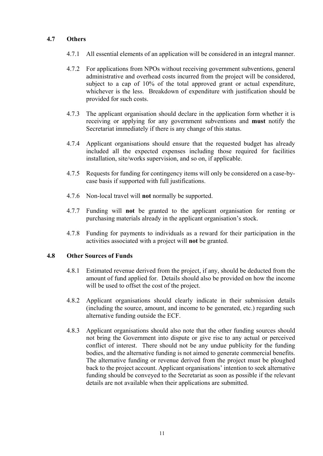# **4.7 Others**

- 4.7.1 All essential elements of an application will be considered in an integral manner.
- 4.7.2 For applications from NPOs without receiving government subventions, general administrative and overhead costs incurred from the project will be considered, subject to a cap of 10% of the total approved grant or actual expenditure, whichever is the less. Breakdown of expenditure with justification should be provided for such costs.
- 4.7.3 The applicant organisation should declare in the application form whether it is receiving or applying for any government subventions and **must** notify the Secretariat immediately if there is any change of this status.
- 4.7.4 Applicant organisations should ensure that the requested budget has already included all the expected expenses including those required for facilities installation, site/works supervision, and so on, if applicable.
- 4.7.5 Requests for funding for contingency items will only be considered on a case-bycase basis if supported with full justifications.
- 4.7.6 Non-local travel will **not** normally be supported.
- 4.7.7 Funding will **not** be granted to the applicant organisation for renting or purchasing materials already in the applicant organisation's stock.
- 4.7.8 Funding for payments to individuals as a reward for their participation in the activities associated with a project will **not** be granted.

#### **4.8 Other Sources of Funds**

- 4.8.1 Estimated revenue derived from the project, if any, should be deducted from the amount of fund applied for. Details should also be provided on how the income will be used to offset the cost of the project.
- 4.8.2 Applicant organisations should clearly indicate in their submission details (including the source, amount, and income to be generated, etc.) regarding such alternative funding outside the ECF.
- 4.8.3 Applicant organisations should also note that the other funding sources should not bring the Government into dispute or give rise to any actual or perceived conflict of interest. There should not be any undue publicity for the funding bodies, and the alternative funding is not aimed to generate commercial benefits. The alternative funding or revenue derived from the project must be ploughed back to the project account. Applicant organisations' intention to seek alternative funding should be conveyed to the Secretariat as soon as possible if the relevant details are not available when their applications are submitted.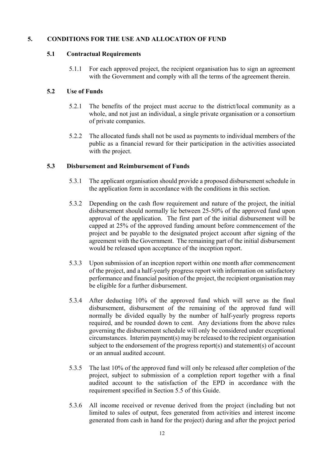# **5. CONDITIONS FOR THE USE AND ALLOCATION OF FUND**

#### **5.1 Contractual Requirements**

5.1.1 For each approved project, the recipient organisation has to sign an agreement with the Government and comply with all the terms of the agreement therein.

#### **5.2 Use of Funds**

- 5.2.1 The benefits of the project must accrue to the district/local community as a whole, and not just an individual, a single private organisation or a consortium of private companies.
- 5.2.2 The allocated funds shall not be used as payments to individual members of the public as a financial reward for their participation in the activities associated with the project.

#### **5.3 Disbursement and Reimbursement of Funds**

- 5.3.1 The applicant organisation should provide a proposed disbursement schedule in the application form in accordance with the conditions in this section.
- 5.3.2 Depending on the cash flow requirement and nature of the project, the initial disbursement should normally lie between 25-50% of the approved fund upon approval of the application. The first part of the initial disbursement will be capped at 25% of the approved funding amount before commencement of the project and be payable to the designated project account after signing of the agreement with the Government. The remaining part of the initial disbursement would be released upon acceptance of the inception report.
- 5.3.3 Upon submission of an inception report within one month after commencement of the project, and a half-yearly progress report with information on satisfactory performance and financial position of the project, the recipient organisation may be eligible for a further disbursement.
- 5.3.4 After deducting 10% of the approved fund which will serve as the final disbursement, disbursement of the remaining of the approved fund will normally be divided equally by the number of half-yearly progress reports required, and be rounded down to cent. Any deviations from the above rules governing the disbursement schedule will only be considered under exceptional circumstances. Interim payment(s) may be released to the recipient organisation subject to the endorsement of the progress report(s) and statement(s) of account or an annual audited account.
- 5.3.5 The last 10% of the approved fund will only be released after completion of the project, subject to submission of a completion report together with a final audited account to the satisfaction of the EPD in accordance with the requirement specified in Section 5.5 of this Guide.
- 5.3.6 All income received or revenue derived from the project (including but not limited to sales of output, fees generated from activities and interest income generated from cash in hand for the project) during and after the project period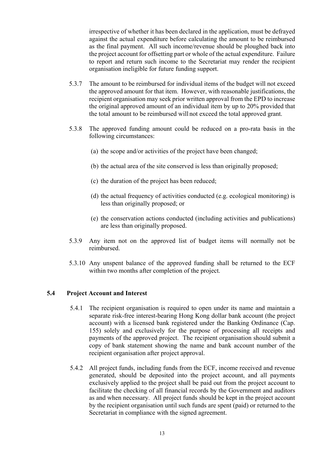irrespective of whether it has been declared in the application, must be defrayed against the actual expenditure before calculating the amount to be reimbursed as the final payment. All such income/revenue should be ploughed back into the project account for offsetting part or whole of the actual expenditure. Failure to report and return such income to the Secretariat may render the recipient organisation ineligible for future funding support.

- 5.3.7 The amount to be reimbursed for individual items of the budget will not exceed the approved amount for that item. However, with reasonable justifications, the recipient organisation may seek prior written approval from the EPD to increase the original approved amount of an individual item by up to 20% provided that the total amount to be reimbursed will not exceed the total approved grant.
- 5.3.8 The approved funding amount could be reduced on a pro-rata basis in the following circumstances:
	- (a) the scope and/or activities of the project have been changed;
	- (b) the actual area of the site conserved is less than originally proposed;
	- (c) the duration of the project has been reduced;
	- (d) the actual frequency of activities conducted (e.g. ecological monitoring) is less than originally proposed; or
	- (e) the conservation actions conducted (including activities and publications) are less than originally proposed.
- 5.3.9 Any item not on the approved list of budget items will normally not be reimbursed.
- 5.3.10 Any unspent balance of the approved funding shall be returned to the ECF within two months after completion of the project.

#### **5.4 Project Account and Interest**

- 5.4.1 The recipient organisation is required to open under its name and maintain a separate risk-free interest-bearing Hong Kong dollar bank account (the project account) with a licensed bank registered under the Banking Ordinance (Cap. 155) solely and exclusively for the purpose of processing all receipts and payments of the approved project. The recipient organisation should submit a copy of bank statement showing the name and bank account number of the recipient organisation after project approval.
- 5.4.2 All project funds, including funds from the ECF, income received and revenue generated, should be deposited into the project account, and all payments exclusively applied to the project shall be paid out from the project account to facilitate the checking of all financial records by the Government and auditors as and when necessary. All project funds should be kept in the project account by the recipient organisation until such funds are spent (paid) or returned to the Secretariat in compliance with the signed agreement.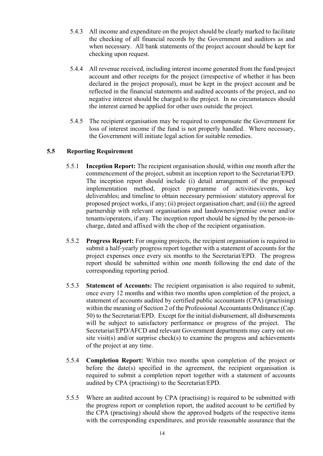- 5.4.3 All income and expenditure on the project should be clearly marked to facilitate the checking of all financial records by the Government and auditors as and when necessary. All bank statements of the project account should be kept for checking upon request.
- 5.4.4 All revenue received, including interest income generated from the fund/project account and other receipts for the project (irrespective of whether it has been declared in the project proposal), must be kept in the project account and be reflected in the financial statements and audited accounts of the project, and no negative interest should be charged to the project. In no circumstances should the interest earned be applied for other uses outside the project.
- 5.4.5 The recipient organisation may be required to compensate the Government for loss of interest income if the fund is not properly handled. Where necessary, the Government will initiate legal action for suitable remedies.

# **5.5 Reporting Requirement**

- 5.5.1 **Inception Report:** The recipient organisation should, within one month after the commencement of the project, submit an inception report to the Secretariat/EPD. The inception report should include (i) detail arrangement of the proposed implementation method, project programme of activities/events, key deliverables; and timeline to obtain necessary permission/ statutory approval for proposed project works, if any; (ii) project organisation chart; and (iii) the agreed partnership with relevant organisations and landowners/premise owner and/or tenants/operators, if any. The inception report should be signed by the person-incharge, dated and affixed with the chop of the recipient organisation.
- 5.5.2 **Progress Report:** For ongoing projects, the recipient organisation is required to submit a half-yearly progress report together with a statement of accounts for the project expenses once every six months to the Secretariat/EPD. The progress report should be submitted within one month following the end date of the corresponding reporting period.
- 5.5.3 **Statement of Accounts:** The recipient organisation is also required to submit, once every 12 months and within two months upon completion of the project, a statement of accounts audited by certified public accountants (CPA) (practising) within the meaning of Section 2 of the Professional Accountants Ordinance (Cap. 50) to the Secretariat/EPD. Except for the initial disbursement, all disbursements will be subject to satisfactory performance or progress of the project. The Secretariat/EPD/AFCD and relevant Government departments may carry out onsite visit(s) and/or surprise check(s) to examine the progress and achievements of the project at any time.
- 5.5.4 **Completion Report:** Within two months upon completion of the project or before the date(s) specified in the agreement, the recipient organisation is required to submit a completion report together with a statement of accounts audited by CPA (practising) to the Secretariat/EPD.
- 5.5.5 Where an audited account by CPA (practising) is required to be submitted with the progress report or completion report, the audited account to be certified by the CPA (practising) should show the approved budgets of the respective items with the corresponding expenditures, and provide reasonable assurance that the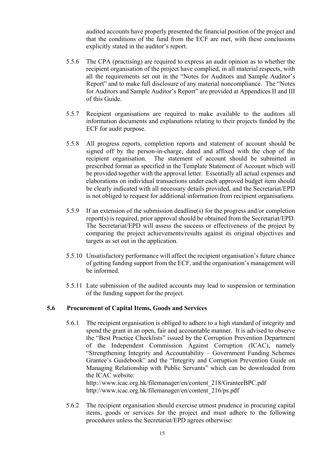audited accounts have properly presented the financial position of the project and that the conditions of the fund from the ECF are met, with these conclusions explicitly stated in the auditor's report.

- 5.5.6 The CPA (practising) are required to express an audit opinion as to whether the recipient organisation of the project have complied, in all material respects, with all the requirements set out in the "Notes for Auditors and Sample Auditor's Report" and to make full disclosure of any material noncompliance. The "Notes for Auditors and Sample Auditor's Report" are provided at Appendices II and III of this Guide.
- 5.5.7 Recipient organisations are required to make available to the auditors all information documents and explanations relating to their projects funded by the ECF for audit purpose.
- 5.5.8 All progress reports, completion reports and statement of account should be signed off by the person-in-charge, dated and affixed with the chop of the recipient organisation. The statement of account should be submitted in prescribed format as specified in the Template Statement of Account which will be provided together with the approval letter. Essentially all actual expenses and elaborations on individual transactions under each approved budget item should be clearly indicated with all necessary details provided, and the Secretariat/EPD is not obliged to request for additional information from recipient organisations.
- 5.5.9 If an extension of the submission deadline(s) for the progress and/or completion report(s) is required, prior approval should be obtained from the Secretariat/EPD. The Secretariat/EPD will assess the success or effectiveness of the project by comparing the project achievements/results against its original objectives and targets as set out in the application.
- 5.5.10 Unsatisfactory performance will affect the recipient organisation's future chance of getting funding support from the ECF, and the organisation's management will be informed.
- 5.5.11 Late submission of the audited accounts may lead to suspension or termination of the funding support for the project.

#### **5.6 Procurement of Capital Items, Goods and Services**

5.6.1 The recipient organisation is obliged to adhere to a high standard of integrity and spend the grant in an open, fair and accountable manner. It is advised to observe the "Best Practice Checklists" issued by the Corruption Prevention Department of the Independent Commission Against Corruption (ICAC), namely "Strengthening Integrity and Accountability – Government Funding Schemes Grantee's Guidebook" and the "Integrity and Corruption Prevention Guide on Managing Relationship with Public Servants" which can be downloaded from the ICAC website:

http://www.icac.org.hk/filemanager/en/content\_218/GranteeBPC.pdf http://www.icac.org.hk/filemanager/en/content\_216/ps.pdf

5.6.2 The recipient organisation should exercise utmost prudence in procuring capital items, goods or services for the project and must adhere to the following procedures unless the Secretariat/EPD agrees otherwise: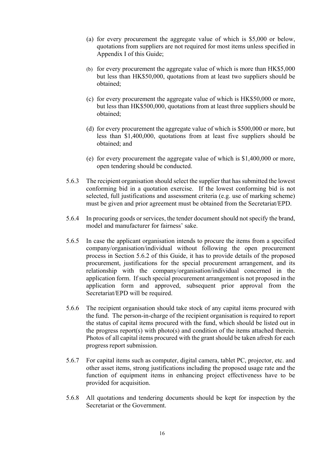- (a) for every procurement the aggregate value of which is \$5,000 or below, quotations from suppliers are not required for most items unless specified in Appendix I of this Guide;
- (b) for every procurement the aggregate value of which is more than HK\$5,000 but less than HK\$50,000, quotations from at least two suppliers should be obtained;
- (c) for every procurement the aggregate value of which is HK\$50,000 or more, but less than HK\$500,000, quotations from at least three suppliers should be obtained;
- (d) for every procurement the aggregate value of which is \$500,000 or more, but less than \$1,400,000, quotations from at least five suppliers should be obtained; and
- (e) for every procurement the aggregate value of which is \$1,400,000 or more, open tendering should be conducted.
- 5.6.3 The recipient organisation should select the supplier that has submitted the lowest conforming bid in a quotation exercise. If the lowest conforming bid is not selected, full justifications and assessment criteria (e.g. use of marking scheme) must be given and prior agreement must be obtained from the Secretariat/EPD.
- 5.6.4 In procuring goods or services, the tender document should not specify the brand, model and manufacturer for fairness' sake.
- 5.6.5 In case the applicant organisation intends to procure the items from a specified company/organisation/individual without following the open procurement process in Section 5.6.2 of this Guide, it has to provide details of the proposed procurement, justifications for the special procurement arrangement, and its relationship with the company/organisation/individual concerned in the application form. If such special procurement arrangement is not proposed in the application form and approved, subsequent prior approval from the Secretariat/EPD will be required.
- 5.6.6 The recipient organisation should take stock of any capital items procured with the fund. The person-in-charge of the recipient organisation is required to report the status of capital items procured with the fund, which should be listed out in the progress report(s) with photo(s) and condition of the items attached therein. Photos of all capital items procured with the grant should be taken afresh for each progress report submission.
- 5.6.7 For capital items such as computer, digital camera, tablet PC, projector, etc. and other asset items, strong justifications including the proposed usage rate and the function of equipment items in enhancing project effectiveness have to be provided for acquisition.
- 5.6.8 All quotations and tendering documents should be kept for inspection by the Secretariat or the Government.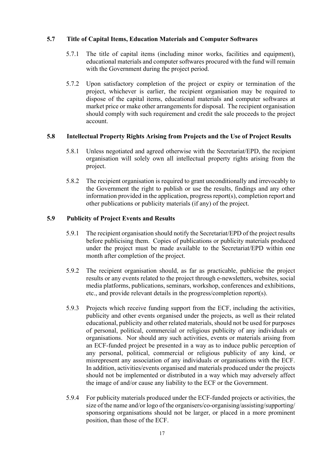#### **5.7 Title of Capital Items, Education Materials and Computer Softwares**

- 5.7.1 The title of capital items (including minor works, facilities and equipment), educational materials and computer softwares procured with the fund will remain with the Government during the project period.
- 5.7.2 Upon satisfactory completion of the project or expiry or termination of the project, whichever is earlier, the recipient organisation may be required to dispose of the capital items, educational materials and computer softwares at market price or make other arrangements for disposal. The recipient organisation should comply with such requirement and credit the sale proceeds to the project account.

#### **5.8 Intellectual Property Rights Arising from Projects and the Use of Project Results**

- 5.8.1 Unless negotiated and agreed otherwise with the Secretariat/EPD, the recipient organisation will solely own all intellectual property rights arising from the project.
- 5.8.2 The recipient organisation is required to grant unconditionally and irrevocably to the Government the right to publish or use the results, findings and any other information provided in the application, progress report(s), completion report and other publications or publicity materials (if any) of the project.

#### **5.9 Publicity of Project Events and Results**

- 5.9.1 The recipient organisation should notify the Secretariat/EPD of the project results before publicising them. Copies of publications or publicity materials produced under the project must be made available to the Secretariat/EPD within one month after completion of the project.
- 5.9.2 The recipient organisation should, as far as practicable, publicise the project results or any events related to the project through e-newsletters, websites, social media platforms, publications, seminars, workshop, conferences and exhibitions, etc., and provide relevant details in the progress/completion report(s).
- 5.9.3 Projects which receive funding support from the ECF, including the activities, publicity and other events organised under the projects, as well as their related educational, publicity and other related materials, should not be used for purposes of personal, political, commercial or religious publicity of any individuals or organisations. Nor should any such activities, events or materials arising from an ECF-funded project be presented in a way as to induce public perception of any personal, political, commercial or religious publicity of any kind, or misrepresent any association of any individuals or organisations with the ECF. In addition, activities/events organised and materials produced under the projects should not be implemented or distributed in a way which may adversely affect the image of and/or cause any liability to the ECF or the Government.
- 5.9.4 For publicity materials produced under the ECF-funded projects or activities, the size of the name and/or logo of the organisers/co-organising/assisting/supporting/ sponsoring organisations should not be larger, or placed in a more prominent position, than those of the ECF.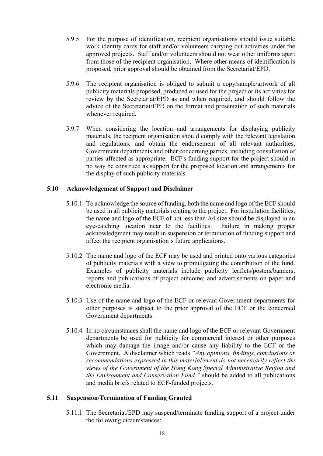- 5.9.5 For the purpose of identification, recipient organisations should issue suitable work identity cards for staff and/or volunteers carrying out activities under the approved projects. Staff and/or volunteers should not wear other uniforms apart from those of the recipient organisation. Where other means of identification is proposed, prior approval should be obtained from the Secretariat/EPD.
- 5.9.6 The recipient organisation is obliged to submit a copy/sample/artwork of all publicity materials proposed, produced or used for the project or its activities for review by the Secretariat/EPD as and when required, and should follow the advice of the Secretariat/EPD on the format and presentation of such materials whenever required.
- 5.9.7 When considering the location and arrangements for displaying publicity materials, the recipient organisation should comply with the relevant legislation and regulations, and obtain the endorsement of all relevant authorities, Government departments and other concerning parties, including consultation of parties affected as appropriate. ECF's funding support for the project should in no way be construed as support for the proposed location and arrangements for the display of such publicity materials.

#### **5.10 Acknowledgement of Support and Disclaimer**

- 5.10.1 To acknowledge the source of funding, both the name and logo of the ECF should be used in all publicity materials relating to the project. For installation facilities, the name and logo of the ECF of not less than A4 size should be displayed in an eye-catching location near to the facilities. Failure in making proper acknowledgment may result in suspension or termination of funding support and affect the recipient organisation's future applications.
- 5.10.2 The name and logo of the ECF may be used and printed onto various categories of publicity materials with a view to promulgating the contribution of the fund. Examples of publicity materials include publicity leaflets/posters/banners; reports and publications of project outcome; and advertisements on paper and electronic media.
- 5.10.3 Use of the name and logo of the ECF or relevant Government departments for other purposes is subject to the prior approval of the ECF or the concerned Government departments.
- 5.10.4 In no circumstances shall the name and logo of the ECF or relevant Government departments be used for publicity for commercial interest or other purposes which may damage the image and/or cause any liability to the ECF or the Government. A disclaimer which reads *"Any opinions, findings, conclusions or recommendations expressed in this material/event do not necessarily reflect the views of the Government of the Hong Kong Special Administrative Region and the Environment and Conservation Fund."* should be added to all publications and media briefs related to ECF-funded projects.

#### **5.11 Suspension/Termination of Funding Granted**

5.11.1 The Secretariat/EPD may suspend/terminate funding support of a project under the following circumstances: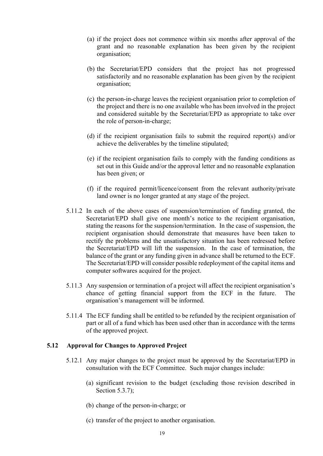- (a) if the project does not commence within six months after approval of the grant and no reasonable explanation has been given by the recipient organisation;
- (b) the Secretariat/EPD considers that the project has not progressed satisfactorily and no reasonable explanation has been given by the recipient organisation;
- (c) the person-in-charge leaves the recipient organisation prior to completion of the project and there is no one available who has been involved in the project and considered suitable by the Secretariat/EPD as appropriate to take over the role of person-in-charge;
- (d) if the recipient organisation fails to submit the required report(s) and/or achieve the deliverables by the timeline stipulated;
- (e) if the recipient organisation fails to comply with the funding conditions as set out in this Guide and/or the approval letter and no reasonable explanation has been given; or
- (f) if the required permit/licence/consent from the relevant authority/private land owner is no longer granted at any stage of the project.
- 5.11.2 In each of the above cases of suspension/termination of funding granted, the Secretariat/EPD shall give one month's notice to the recipient organisation, stating the reasons for the suspension/termination. In the case of suspension, the recipient organisation should demonstrate that measures have been taken to rectify the problems and the unsatisfactory situation has been redressed before the Secretariat/EPD will lift the suspension. In the case of termination, the balance of the grant or any funding given in advance shall be returned to the ECF. The Secretariat/EPD will consider possible redeployment of the capital items and computer softwares acquired for the project.
- 5.11.3 Any suspension or termination of a project will affect the recipient organisation's chance of getting financial support from the ECF in the future. The organisation's management will be informed.
- 5.11.4 The ECF funding shall be entitled to be refunded by the recipient organisation of part or all of a fund which has been used other than in accordance with the terms of the approved project.

#### **5.12 Approval for Changes to Approved Project**

- 5.12.1 Any major changes to the project must be approved by the Secretariat/EPD in consultation with the ECF Committee. Such major changes include:
	- (a) significant revision to the budget (excluding those revision described in Section 5.3.7);
	- (b) change of the person-in-charge; or
	- (c) transfer of the project to another organisation.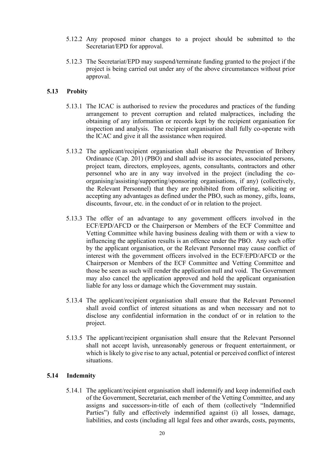- 5.12.2 Any proposed minor changes to a project should be submitted to the Secretariat/EPD for approval.
- 5.12.3 The Secretariat/EPD may suspend/terminate funding granted to the project if the project is being carried out under any of the above circumstances without prior approval.

#### **5.13 Probity**

- 5.13.1 The ICAC is authorised to review the procedures and practices of the funding arrangement to prevent corruption and related malpractices, including the obtaining of any information or records kept by the recipient organisation for inspection and analysis. The recipient organisation shall fully co-operate with the ICAC and give it all the assistance when required.
- 5.13.2 The applicant/recipient organisation shall observe the Prevention of Bribery Ordinance (Cap. 201) (PBO) and shall advise its associates, associated persons, project team, directors, employees, agents, consultants, contractors and other personnel who are in any way involved in the project (including the coorganising/assisting/supporting/sponsoring organisations, if any) (collectively, the Relevant Personnel) that they are prohibited from offering, soliciting or accepting any advantages as defined under the PBO, such as money, gifts, loans, discounts, favour, etc. in the conduct of or in relation to the project.
- 5.13.3 The offer of an advantage to any government officers involved in the ECF/EPD/AFCD or the Chairperson or Members of the ECF Committee and Vetting Committee while having business dealing with them or with a view to influencing the application results is an offence under the PBO. Any such offer by the applicant organisation, or the Relevant Personnel may cause conflict of interest with the government officers involved in the ECF/EPD/AFCD or the Chairperson or Members of the ECF Committee and Vetting Committee and those be seen as such will render the application null and void. The Government may also cancel the application approved and hold the applicant organisation liable for any loss or damage which the Government may sustain.
- 5.13.4 The applicant/recipient organisation shall ensure that the Relevant Personnel shall avoid conflict of interest situations as and when necessary and not to disclose any confidential information in the conduct of or in relation to the project.
- 5.13.5 The applicant/recipient organisation shall ensure that the Relevant Personnel shall not accept lavish, unreasonably generous or frequent entertainment, or which is likely to give rise to any actual, potential or perceived conflict of interest situations.

#### **5.14 Indemnity**

5.14.1 The applicant/recipient organisation shall indemnify and keep indemnified each of the Government, Secretariat, each member of the Vetting Committee, and any assigns and successors-in-title of each of them (collectively "Indemnified Parties") fully and effectively indemnified against (i) all losses, damage, liabilities, and costs (including all legal fees and other awards, costs, payments,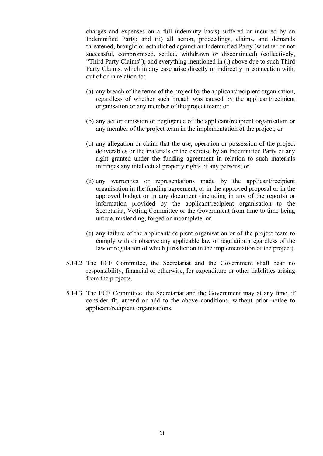charges and expenses on a full indemnity basis) suffered or incurred by an Indemnified Party; and (ii) all action, proceedings, claims, and demands threatened, brought or established against an Indemnified Party (whether or not successful, compromised, settled, withdrawn or discontinued) (collectively, "Third Party Claims"); and everything mentioned in (i) above due to such Third Party Claims, which in any case arise directly or indirectly in connection with, out of or in relation to:

- (a) any breach of the terms of the project by the applicant/recipient organisation, regardless of whether such breach was caused by the applicant/recipient organisation or any member of the project team; or
- (b) any act or omission or negligence of the applicant/recipient organisation or any member of the project team in the implementation of the project; or
- (c) any allegation or claim that the use, operation or possession of the project deliverables or the materials or the exercise by an Indemnified Party of any right granted under the funding agreement in relation to such materials infringes any intellectual property rights of any persons; or
- (d) any warranties or representations made by the applicant/recipient organisation in the funding agreement, or in the approved proposal or in the approved budget or in any document (including in any of the reports) or information provided by the applicant/recipient organisation to the Secretariat, Vetting Committee or the Government from time to time being untrue, misleading, forged or incomplete; or
- (e) any failure of the applicant/recipient organisation or of the project team to comply with or observe any applicable law or regulation (regardless of the law or regulation of which jurisdiction in the implementation of the project).
- 5.14.2 The ECF Committee, the Secretariat and the Government shall bear no responsibility, financial or otherwise, for expenditure or other liabilities arising from the projects.
- 5.14.3 The ECF Committee, the Secretariat and the Government may at any time, if consider fit, amend or add to the above conditions, without prior notice to applicant/recipient organisations.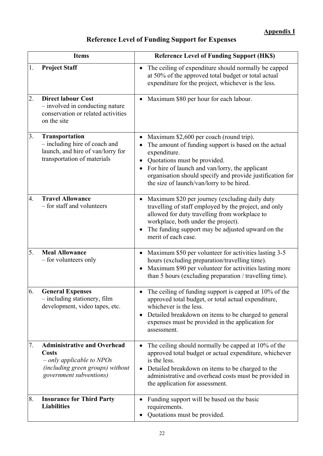# **Reference Level of Funding Support for Expenses**

| <b>Items</b> |                                                                                                                                                  | <b>Reference Level of Funding Support (HK\$)</b>                                                                                                                                                                                                                                                             |
|--------------|--------------------------------------------------------------------------------------------------------------------------------------------------|--------------------------------------------------------------------------------------------------------------------------------------------------------------------------------------------------------------------------------------------------------------------------------------------------------------|
| 1.           | <b>Project Staff</b>                                                                                                                             | The ceiling of expenditure should normally be capped<br>$\bullet$<br>at 50% of the approved total budget or total actual<br>expenditure for the project, whichever is the less.                                                                                                                              |
| 2.           | <b>Direct labour Cost</b><br>$-$ involved in conducting nature<br>conservation or related activities<br>on the site                              | Maximum \$80 per hour for each labour.                                                                                                                                                                                                                                                                       |
| 3.           | <b>Transportation</b><br>- including hire of coach and<br>launch, and hire of van/lorry for<br>transportation of materials                       | Maximum \$2,600 per coach (round trip).<br>The amount of funding support is based on the actual<br>expenditure.<br>Quotations must be provided.<br>For hire of launch and van/lorry, the applicant<br>organisation should specify and provide justification for<br>the size of launch/van/lorry to be hired. |
| 4.           | <b>Travel Allowance</b><br>- for staff and volunteers                                                                                            | Maximum \$20 per journey (excluding daily duty<br>$\bullet$<br>travelling of staff employed by the project, and only<br>allowed for duty travelling from workplace to<br>workplace, both under the project).<br>The funding support may be adjusted upward on the<br>merit of each case.                     |
| 5.           | <b>Meal Allowance</b><br>– for volunteers only                                                                                                   | Maximum \$50 per volunteer for activities lasting 3-5<br>$\bullet$<br>hours (excluding preparation/travelling time).<br>Maximum \$90 per volunteer for activities lasting more<br>than 5 hours (excluding preparation / travelling time).                                                                    |
| 6.           | <b>General Expenses</b><br>$-$ including stationery, film<br>development, video tapes, etc.                                                      | The ceiling of funding support is capped at 10% of the<br>approved total budget, or total actual expenditure,<br>whichever is the less.<br>Detailed breakdown on items to be charged to general<br>expenses must be provided in the application for<br>assessment.                                           |
| 7.           | <b>Administrative and Overhead</b><br><b>Costs</b><br>$-$ only applicable to NPOs<br>(including green groups) without<br>government subventions) | The ceiling should normally be capped at 10% of the<br>$\bullet$<br>approved total budget or actual expenditure, whichever<br>is the less.<br>Detailed breakdown on items to be charged to the<br>administrative and overhead costs must be provided in<br>the application for assessment.                   |
| 8.           | <b>Insurance for Third Party</b><br><b>Liabilities</b>                                                                                           | Funding support will be based on the basic<br>requirements.<br>Quotations must be provided.                                                                                                                                                                                                                  |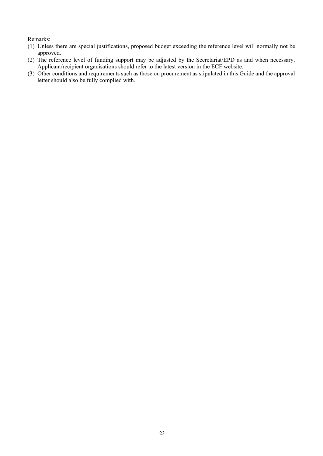Remarks:

- (1) Unless there are special justifications, proposed budget exceeding the reference level will normally not be approved.
- (2) The reference level of funding support may be adjusted by the Secretariat/EPD as and when necessary. Applicant/recipient organisations should refer to the latest version in the ECF website.
- (3) Other conditions and requirements such as those on procurement as stipulated in this Guide and the approval letter should also be fully complied with.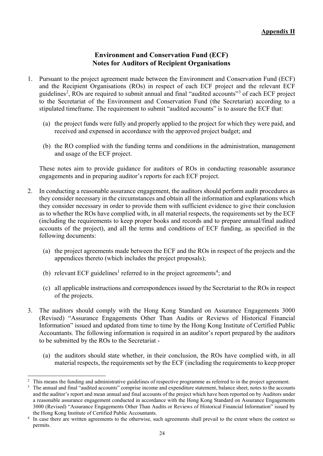# **Environment and Conservation Fund (ECF) Notes for Auditors of Recipient Organisations**

- 1. Pursuant to the project agreement made between the Environment and Conservation Fund (ECF) and the Recipient Organisations (ROs) in respect of each ECF project and the relevant ECF guidelines<sup>[2](#page-23-0)</sup>, ROs are required to submit annual and final "audited accounts"<sup>[3](#page-23-1)</sup> of each ECF project to the Secretariat of the Environment and Conservation Fund (the Secretariat) according to a stipulated timeframe. The requirement to submit "audited accounts" is to assure the ECF that:
	- (a) the project funds were fully and properly applied to the project for which they were paid, and received and expensed in accordance with the approved project budget; and
	- (b) the RO complied with the funding terms and conditions in the administration, management and usage of the ECF project.

These notes aim to provide guidance for auditors of ROs in conducting reasonable assurance engagements and in preparing auditor's reports for each ECF project.

- 2. In conducting a reasonable assurance engagement, the auditors should perform audit procedures as they consider necessary in the circumstances and obtain all the information and explanations which they consider necessary in order to provide them with sufficient evidence to give their conclusion as to whether the ROs have complied with, in all material respects, the requirements set by the ECF (including the requirements to keep proper books and records and to prepare annual/final audited accounts of the project), and all the terms and conditions of ECF funding, as specified in the following documents:
	- (a) the project agreements made between the ECF and the ROs in respect of the projects and the appendices thereto (which includes the project proposals);
	- (b) relevant ECF guidelines<sup>1</sup> referred to in the project agreements<sup>[4](#page-23-2)</sup>; and
	- (c) all applicable instructions and correspondences issued by the Secretariat to the ROs in respect of the projects.
- 3. The auditors should comply with the Hong Kong Standard on Assurance Engagements 3000 (Revised) "Assurance Engagements Other Than Audits or Reviews of Historical Financial Information" issued and updated from time to time by the Hong Kong Institute of Certified Public Accountants. The following information is required in an auditor's report prepared by the auditors to be submitted by the ROs to the Secretariat -
	- (a) the auditors should state whether, in their conclusion, the ROs have complied with, in all material respects, the requirements set by the ECF (including the requirements to keep proper

<span id="page-23-0"></span><sup>&</sup>lt;sup>2</sup> This means the funding and administrative guidelines of respective programme as referred to in the project agreement.

<span id="page-23-1"></span>The annual and final "audited accounts" comprise income and expenditure statement, balance sheet, notes to the accounts and the auditor's report and mean annual and final accounts of the project which have been reported on by Auditors under a reasonable assurance engagement conducted in accordance with the Hong Kong Standard on Assurance Engagements 3000 (Revised) "Assurance Engagements Other Than Audits or Reviews of Historical Financial Information" issued by the Hong Kong Institute of Certified Public Accountants.

<span id="page-23-2"></span>In case there are written agreements to the otherwise, such agreements shall prevail to the extent where the context so permits.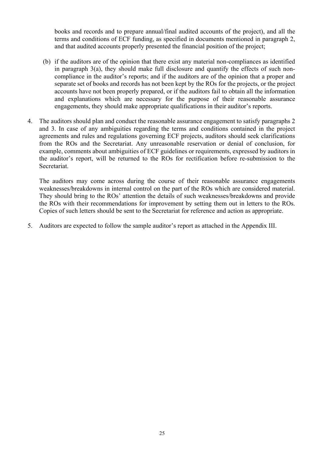books and records and to prepare annual/final audited accounts of the project), and all the terms and conditions of ECF funding, as specified in documents mentioned in paragraph 2, and that audited accounts properly presented the financial position of the project;

- (b) if the auditors are of the opinion that there exist any material non-compliances as identified in paragraph 3(a), they should make full disclosure and quantify the effects of such noncompliance in the auditor's reports; and if the auditors are of the opinion that a proper and separate set of books and records has not been kept by the ROs for the projects, or the project accounts have not been properly prepared, or if the auditors fail to obtain all the information and explanations which are necessary for the purpose of their reasonable assurance engagements, they should make appropriate qualifications in their auditor's reports.
- 4. The auditors should plan and conduct the reasonable assurance engagement to satisfy paragraphs 2 and 3. In case of any ambiguities regarding the terms and conditions contained in the project agreements and rules and regulations governing ECF projects, auditors should seek clarifications from the ROs and the Secretariat. Any unreasonable reservation or denial of conclusion, for example, comments about ambiguities of ECF guidelines or requirements, expressed by auditors in the auditor's report, will be returned to the ROs for rectification before re-submission to the Secretariat.

The auditors may come across during the course of their reasonable assurance engagements weaknesses/breakdowns in internal control on the part of the ROs which are considered material. They should bring to the ROs' attention the details of such weaknesses/breakdowns and provide the ROs with their recommendations for improvement by setting them out in letters to the ROs. Copies of such letters should be sent to the Secretariat for reference and action as appropriate.

5. Auditors are expected to follow the sample auditor's report as attached in the Appendix III.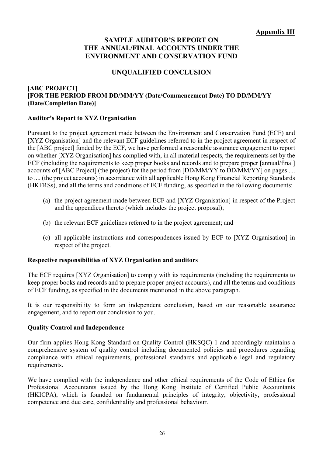# **SAMPLE AUDITOR'S REPORT ON THE ANNUAL/FINAL ACCOUNTS UNDER THE ENVIRONMENT AND CONSERVATION FUND**

# **UNQUALIFIED CONCLUSION**

# **[ABC PROJECT] [FOR THE PERIOD FROM DD/MM/YY (Date/Commencement Date) TO DD/MM/YY (Date/Completion Date)]**

# **Auditor's Report to XYZ Organisation**

Pursuant to the project agreement made between the Environment and Conservation Fund (ECF) and [XYZ Organisation] and the relevant ECF guidelines referred to in the project agreement in respect of the [ABC project] funded by the ECF, we have performed a reasonable assurance engagement to report on whether [XYZ Organisation] has complied with, in all material respects, the requirements set by the ECF (including the requirements to keep proper books and records and to prepare proper [annual/final] accounts of [ABC Project] (the project) for the period from [DD/MM/YY to DD/MM/YY] on pages .... to .... (the project accounts) in accordance with all applicable Hong Kong Financial Reporting Standards (HKFRSs), and all the terms and conditions of ECF funding, as specified in the following documents:

- (a) the project agreement made between ECF and [XYZ Organisation] in respect of the Project and the appendices thereto (which includes the project proposal);
- (b) the relevant ECF guidelines referred to in the project agreement; and
- (c) all applicable instructions and correspondences issued by ECF to [XYZ Organisation] in respect of the project.

# **Respective responsibilities of XYZ Organisation and auditors**

The ECF requires [XYZ Organisation] to comply with its requirements (including the requirements to keep proper books and records and to prepare proper project accounts), and all the terms and conditions of ECF funding, as specified in the documents mentioned in the above paragraph.

It is our responsibility to form an independent conclusion, based on our reasonable assurance engagement, and to report our conclusion to you.

# **Quality Control and Independence**

Our firm applies Hong Kong Standard on Quality Control (HKSQC) 1 and accordingly maintains a comprehensive system of quality control including documented policies and procedures regarding compliance with ethical requirements, professional standards and applicable legal and regulatory requirements.

We have complied with the independence and other ethical requirements of the Code of Ethics for Professional Accountants issued by the Hong Kong Institute of Certified Public Accountants (HKICPA), which is founded on fundamental principles of integrity, objectivity, professional competence and due care, confidentiality and professional behaviour.